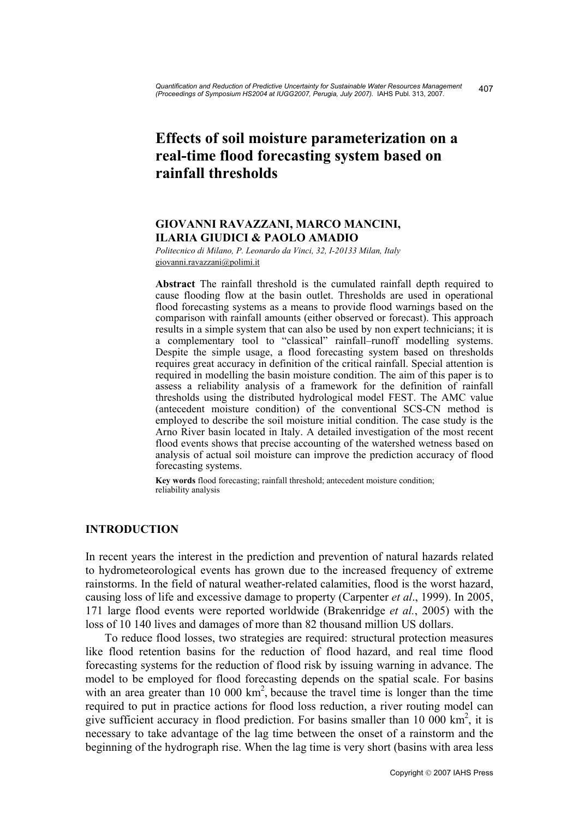# **Effects of soil moisture parameterization on a real-time flood forecasting system based on rainfall thresholds**

# **GIOVANNI RAVAZZANI, MARCO MANCINI, ILARIA GIUDICI & PAOLO AMADIO**

*Politecnico di Milano, P. Leonardo da Vinci, 32, I-20133 Milan, Italy*  giovanni.ravazzani@polimi.it

**Abstract** The rainfall threshold is the cumulated rainfall depth required to cause flooding flow at the basin outlet. Thresholds are used in operational flood forecasting systems as a means to provide flood warnings based on the comparison with rainfall amounts (either observed or forecast). This approach results in a simple system that can also be used by non expert technicians; it is a complementary tool to "classical" rainfall–runoff modelling systems. Despite the simple usage, a flood forecasting system based on thresholds requires great accuracy in definition of the critical rainfall. Special attention is required in modelling the basin moisture condition. The aim of this paper is to assess a reliability analysis of a framework for the definition of rainfall thresholds using the distributed hydrological model FEST. The AMC value (antecedent moisture condition) of the conventional SCS-CN method is employed to describe the soil moisture initial condition. The case study is the Arno River basin located in Italy. A detailed investigation of the most recent flood events shows that precise accounting of the watershed wetness based on analysis of actual soil moisture can improve the prediction accuracy of flood forecasting systems.

**Key words** flood forecasting; rainfall threshold; antecedent moisture condition; reliability analysis

# **INTRODUCTION**

In recent years the interest in the prediction and prevention of natural hazards related to hydrometeorological events has grown due to the increased frequency of extreme rainstorms. In the field of natural weather-related calamities, flood is the worst hazard, causing loss of life and excessive damage to property (Carpenter *et al*., 1999). In 2005, 171 large flood events were reported worldwide (Brakenridge *et al.*, 2005) with the loss of 10 140 lives and damages of more than 82 thousand million US dollars.

 To reduce flood losses, two strategies are required: structural protection measures like flood retention basins for the reduction of flood hazard, and real time flood forecasting systems for the reduction of flood risk by issuing warning in advance. The model to be employed for flood forecasting depends on the spatial scale. For basins with an area greater than 10 000  $km^2$ , because the travel time is longer than the time required to put in practice actions for flood loss reduction, a river routing model can give sufficient accuracy in flood prediction. For basins smaller than 10 000  $\text{km}^2$ , it is necessary to take advantage of the lag time between the onset of a rainstorm and the beginning of the hydrograph rise. When the lag time is very short (basins with area less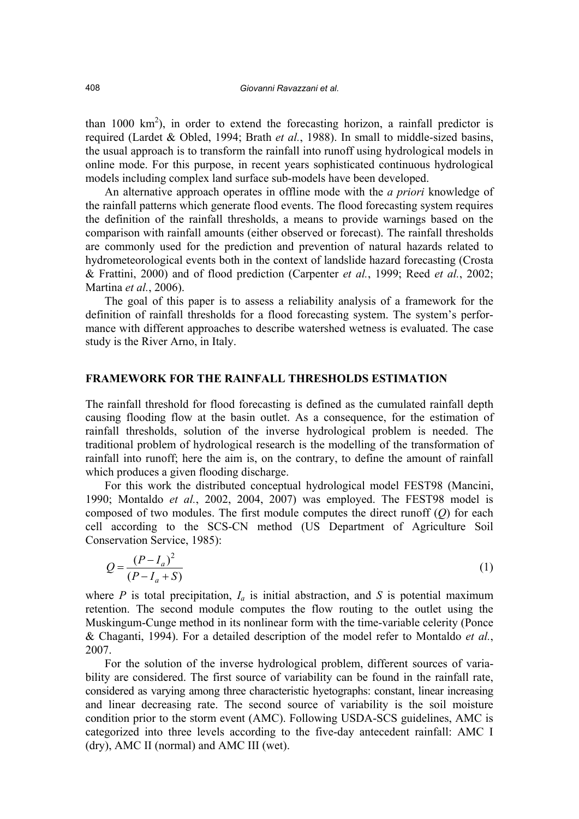than 1000  $\text{km}^2$ ), in order to extend the forecasting horizon, a rainfall predictor is required (Lardet & Obled, 1994; Brath *et al.*, 1988). In small to middle-sized basins, the usual approach is to transform the rainfall into runoff using hydrological models in online mode. For this purpose, in recent years sophisticated continuous hydrological models including complex land surface sub-models have been developed.

 An alternative approach operates in offline mode with the *a priori* knowledge of the rainfall patterns which generate flood events. The flood forecasting system requires the definition of the rainfall thresholds, a means to provide warnings based on the comparison with rainfall amounts (either observed or forecast). The rainfall thresholds are commonly used for the prediction and prevention of natural hazards related to hydrometeorological events both in the context of landslide hazard forecasting (Crosta & Frattini, 2000) and of flood prediction (Carpenter *et al.*, 1999; Reed *et al.*, 2002; Martina *et al.*, 2006).

 The goal of this paper is to assess a reliability analysis of a framework for the definition of rainfall thresholds for a flood forecasting system. The system's performance with different approaches to describe watershed wetness is evaluated. The case study is the River Arno, in Italy.

#### **FRAMEWORK FOR THE RAINFALL THRESHOLDS ESTIMATION**

The rainfall threshold for flood forecasting is defined as the cumulated rainfall depth causing flooding flow at the basin outlet. As a consequence, for the estimation of rainfall thresholds, solution of the inverse hydrological problem is needed. The traditional problem of hydrological research is the modelling of the transformation of rainfall into runoff; here the aim is, on the contrary, to define the amount of rainfall which produces a given flooding discharge.

 For this work the distributed conceptual hydrological model FEST98 (Mancini, 1990; Montaldo *et al.*, 2002, 2004, 2007) was employed. The FEST98 model is composed of two modules. The first module computes the direct runoff (*Q*) for each cell according to the SCS-CN method (US Department of Agriculture Soil Conservation Service, 1985):

$$
Q = \frac{(P - I_a)^2}{(P - I_a + S)}
$$
 (1)

where *P* is total precipitation,  $I_a$  is initial abstraction, and *S* is potential maximum retention. The second module computes the flow routing to the outlet using the Muskingum-Cunge method in its nonlinear form with the time-variable celerity (Ponce & Chaganti, 1994). For a detailed description of the model refer to Montaldo *et al.*, 2007.

 For the solution of the inverse hydrological problem, different sources of variability are considered. The first source of variability can be found in the rainfall rate, considered as varying among three characteristic hyetographs: constant, linear increasing and linear decreasing rate. The second source of variability is the soil moisture condition prior to the storm event (AMC). Following USDA-SCS guidelines, AMC is categorized into three levels according to the five-day antecedent rainfall: AMC I (dry), AMC II (normal) and AMC III (wet).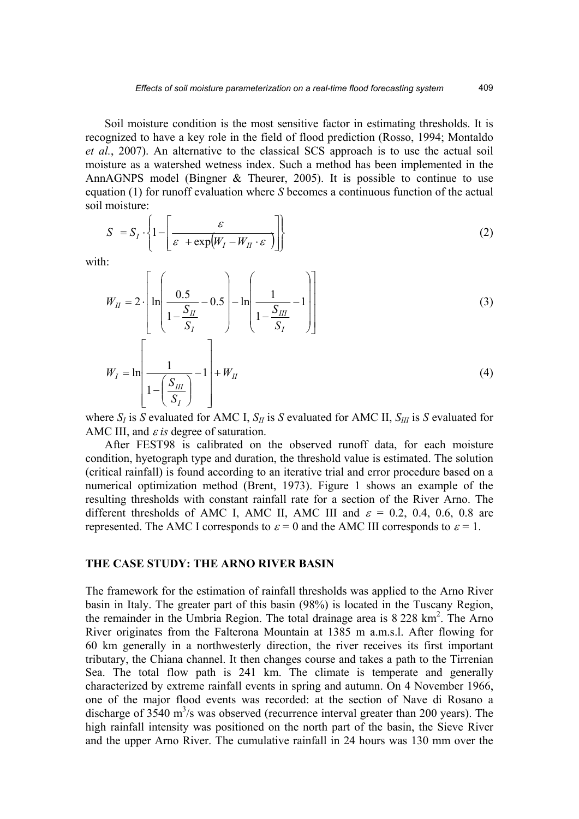Soil moisture condition is the most sensitive factor in estimating thresholds. It is recognized to have a key role in the field of flood prediction (Rosso, 1994; Montaldo *et al.*, 2007). An alternative to the classical SCS approach is to use the actual soil moisture as a watershed wetness index. Such a method has been implemented in the AnnAGNPS model (Bingner & Theurer, 2005). It is possible to continue to use equation (1) for runoff evaluation where *S* becomes a continuous function of the actual soil moisture:

$$
S = S_I \cdot \left\{ 1 - \left[ \frac{\varepsilon}{\varepsilon + \exp(W_I - W_{II} \cdot \varepsilon)} \right] \right\}
$$
 (2)

with:

$$
W_{II} = 2 \cdot \left[ \ln \left( \frac{0.5}{1 - \frac{S_{II}}{S_I}} - 0.5 \right) - \ln \left( \frac{1}{1 - \frac{S_{III}}{S_I}} - 1 \right) \right]
$$
(3)  

$$
W_{I} = \ln \left[ \frac{1}{1 - \left( \frac{S_{III}}{S_I} \right)} - 1 \right] + W_{II}
$$
(4)

where  $S_I$  is *S* evaluated for AMC I,  $S_{II}$  is *S* evaluated for AMC II,  $S_{III}$  is *S* evaluated for AMC III, and ε *is* degree of saturation.

 After FEST98 is calibrated on the observed runoff data, for each moisture condition, hyetograph type and duration, the threshold value is estimated. The solution (critical rainfall) is found according to an iterative trial and error procedure based on a numerical optimization method (Brent, 1973). Figure 1 shows an example of the resulting thresholds with constant rainfall rate for a section of the River Arno. The different thresholds of AMC I, AMC II, AMC III and  $\varepsilon = 0.2, 0.4, 0.6, 0.8$  are represented. The AMC I corresponds to  $\varepsilon = 0$  and the AMC III corresponds to  $\varepsilon = 1$ .

# **THE CASE STUDY: THE ARNO RIVER BASIN**

The framework for the estimation of rainfall thresholds was applied to the Arno River basin in Italy. The greater part of this basin (98%) is located in the Tuscany Region, the remainder in the Umbria Region. The total drainage area is 8 228 km<sup>2</sup>. The Arno River originates from the Falterona Mountain at 1385 m a.m.s.l. After flowing for 60 km generally in a northwesterly direction, the river receives its first important tributary, the Chiana channel. It then changes course and takes a path to the Tirrenian Sea. The total flow path is 241 km. The climate is temperate and generally characterized by extreme rainfall events in spring and autumn. On 4 November 1966, one of the major flood events was recorded: at the section of Nave di Rosano a discharge of  $3540 \text{ m}^3$ /s was observed (recurrence interval greater than 200 years). The high rainfall intensity was positioned on the north part of the basin, the Sieve River and the upper Arno River. The cumulative rainfall in 24 hours was 130 mm over the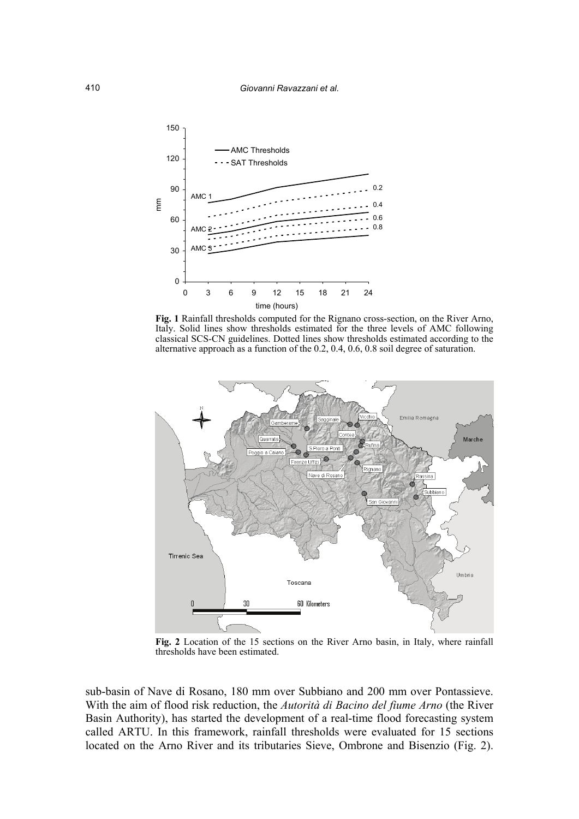

 **Fig. 1** Rainfall thresholds computed for the Rignano cross-section, on the River Arno, Italy. Solid lines show thresholds estimated for the three levels of AMC following classical SCS-CN guidelines. Dotted lines show thresholds estimated according to the alternative approach as a function of the 0.2, 0.4, 0.6, 0.8 soil degree of saturation.



**Fig. 2** Location of the 15 sections on the River Arno basin, in Italy, where rainfall thresholds have been estimated.

sub-basin of Nave di Rosano, 180 mm over Subbiano and 200 mm over Pontassieve. With the aim of flood risk reduction, the *Autorità di Bacino del fiume Arno* (the River Basin Authority), has started the development of a real-time flood forecasting system called ARTU. In this framework, rainfall thresholds were evaluated for 15 sections located on the Arno River and its tributaries Sieve, Ombrone and Bisenzio (Fig. 2).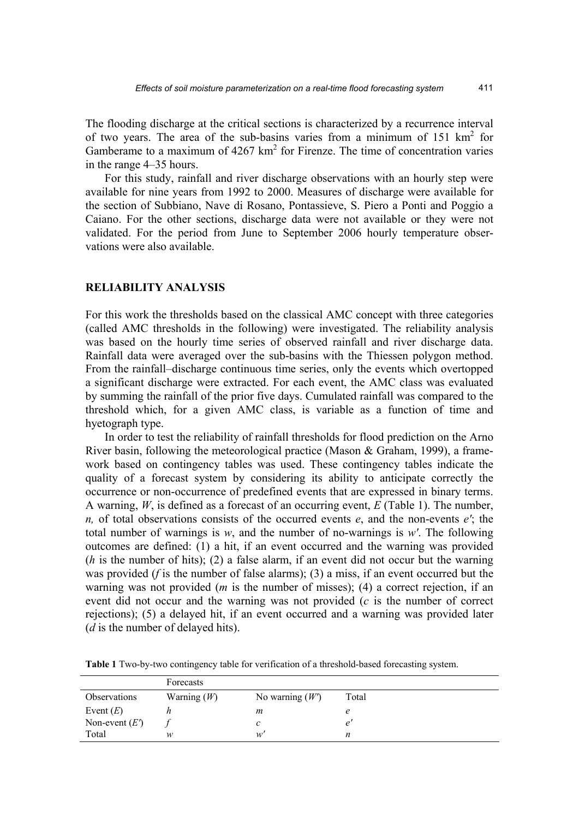The flooding discharge at the critical sections is characterized by a recurrence interval of two years. The area of the sub-basins varies from a minimum of  $151 \text{ km}^2$  for Gamberame to a maximum of  $4267 \text{ km}^2$  for Firenze. The time of concentration varies in the range 4–35 hours.

 For this study, rainfall and river discharge observations with an hourly step were available for nine years from 1992 to 2000. Measures of discharge were available for the section of Subbiano, Nave di Rosano, Pontassieve, S. Piero a Ponti and Poggio a Caiano. For the other sections, discharge data were not available or they were not validated. For the period from June to September 2006 hourly temperature observations were also available.

#### **RELIABILITY ANALYSIS**

For this work the thresholds based on the classical AMC concept with three categories (called AMC thresholds in the following) were investigated. The reliability analysis was based on the hourly time series of observed rainfall and river discharge data. Rainfall data were averaged over the sub-basins with the Thiessen polygon method. From the rainfall–discharge continuous time series, only the events which overtopped a significant discharge were extracted. For each event, the AMC class was evaluated by summing the rainfall of the prior five days. Cumulated rainfall was compared to the threshold which, for a given AMC class, is variable as a function of time and hyetograph type.

 In order to test the reliability of rainfall thresholds for flood prediction on the Arno River basin, following the meteorological practice (Mason & Graham, 1999), a framework based on contingency tables was used. These contingency tables indicate the quality of a forecast system by considering its ability to anticipate correctly the occurrence or non-occurrence of predefined events that are expressed in binary terms. A warning, *W*, is defined as a forecast of an occurring event, *E* (Table 1). The number, *n,* of total observations consists of the occurred events *e*, and the non-events *e′*; the total number of warnings is *w*, and the number of no-warnings is *w′*. The following outcomes are defined: (1) a hit, if an event occurred and the warning was provided (*h* is the number of hits); (2) a false alarm, if an event did not occur but the warning was provided (*f* is the number of false alarms); (3) a miss, if an event occurred but the warning was not provided (*m* is the number of misses); (4) a correct rejection, if an event did not occur and the warning was not provided (*c* is the number of correct rejections); (5) a delayed hit, if an event occurred and a warning was provided later (*d* is the number of delayed hits).

 Forecasts Observations Warning (*W*) No warning (*W*<sup> $\prime$ </sup>) Total Event  $(E)$  *h* m e

**Table 1** Two-by-two contingency table for verification of a threshold-based forecasting system.

Non-event  $(E')$  *f* c e<sup>'</sup> Total *w w' n*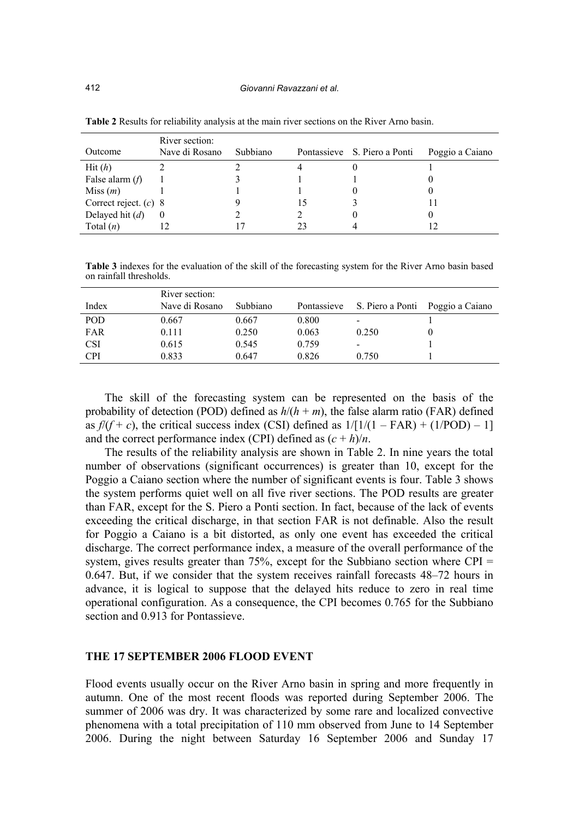| Outcome                 | River section:<br>Nave di Rosano | Subbiano | Pontassieve S. Piero a Ponti | Poggio a Caiano |
|-------------------------|----------------------------------|----------|------------------------------|-----------------|
| Hit(h)                  |                                  |          |                              |                 |
| False alarm $(f)$       |                                  |          |                              |                 |
| Miss(m)                 |                                  |          |                              |                 |
| Correct reject. $(c)$ 8 |                                  |          |                              |                 |
| Delayed hit $(d)$       | $\theta$                         |          |                              |                 |
| Total $(n)$             |                                  |          |                              |                 |

**Table 2** Results for reliability analysis at the main river sections on the River Arno basin.

**Table 3** indexes for the evaluation of the skill of the forecasting system for the River Arno basin based on rainfall thresholds.

| Index      | River section:<br>Nave di Rosano | Subbiano |       | Pontassieve S. Piero a Ponti Poggio a Caiano |  |
|------------|----------------------------------|----------|-------|----------------------------------------------|--|
| POD        | 0.667                            | 0.667    | 0.800 | $\,$                                         |  |
| FAR        | 0.111                            | 0.250    | 0.063 | 0.250                                        |  |
| <b>CSI</b> | 0.615                            | 0.545    | 0.759 |                                              |  |
| <b>CPI</b> | 0.833                            | 0.647    | 0.826 | 0.750                                        |  |

 The skill of the forecasting system can be represented on the basis of the probability of detection (POD) defined as  $h/(h + m)$ , the false alarm ratio (FAR) defined as  $f/(f + c)$ , the critical success index (CSI) defined as  $1/[1/(1 - FAR) + (1/POD) - 1]$ and the correct performance index (CPI) defined as  $(c + h)/n$ .

 The results of the reliability analysis are shown in Table 2. In nine years the total number of observations (significant occurrences) is greater than 10, except for the Poggio a Caiano section where the number of significant events is four. Table 3 shows the system performs quiet well on all five river sections. The POD results are greater than FAR, except for the S. Piero a Ponti section. In fact, because of the lack of events exceeding the critical discharge, in that section FAR is not definable. Also the result for Poggio a Caiano is a bit distorted, as only one event has exceeded the critical discharge. The correct performance index, a measure of the overall performance of the system, gives results greater than  $75\%$ , except for the Subbiano section where CPI = 0.647. But, if we consider that the system receives rainfall forecasts 48–72 hours in advance, it is logical to suppose that the delayed hits reduce to zero in real time operational configuration. As a consequence, the CPI becomes 0.765 for the Subbiano section and 0.913 for Pontassieve.

#### **THE 17 SEPTEMBER 2006 FLOOD EVENT**

Flood events usually occur on the River Arno basin in spring and more frequently in autumn. One of the most recent floods was reported during September 2006. The summer of 2006 was dry. It was characterized by some rare and localized convective phenomena with a total precipitation of 110 mm observed from June to 14 September 2006. During the night between Saturday 16 September 2006 and Sunday 17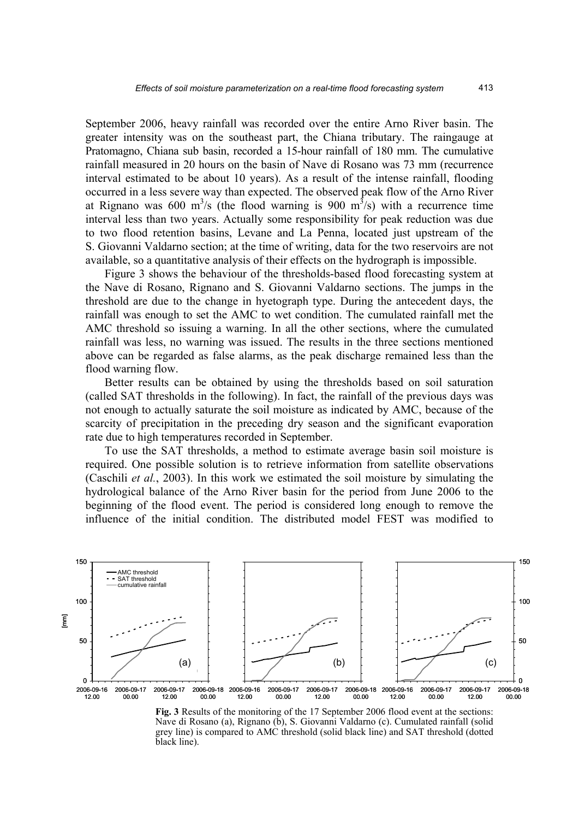September 2006, heavy rainfall was recorded over the entire Arno River basin. The greater intensity was on the southeast part, the Chiana tributary. The raingauge at Pratomagno, Chiana sub basin, recorded a 15-hour rainfall of 180 mm. The cumulative rainfall measured in 20 hours on the basin of Nave di Rosano was 73 mm (recurrence interval estimated to be about 10 years). As a result of the intense rainfall, flooding occurred in a less severe way than expected. The observed peak flow of the Arno River at Rignano was 600 m<sup>3</sup>/s (the flood warning is 900 m<sup>3</sup>/s) with a recurrence time interval less than two years. Actually some responsibility for peak reduction was due to two flood retention basins, Levane and La Penna, located just upstream of the S. Giovanni Valdarno section; at the time of writing, data for the two reservoirs are not available, so a quantitative analysis of their effects on the hydrograph is impossible.

 Figure 3 shows the behaviour of the thresholds-based flood forecasting system at the Nave di Rosano, Rignano and S. Giovanni Valdarno sections. The jumps in the threshold are due to the change in hyetograph type. During the antecedent days, the rainfall was enough to set the AMC to wet condition. The cumulated rainfall met the AMC threshold so issuing a warning. In all the other sections, where the cumulated rainfall was less, no warning was issued. The results in the three sections mentioned above can be regarded as false alarms, as the peak discharge remained less than the flood warning flow.

 Better results can be obtained by using the thresholds based on soil saturation (called SAT thresholds in the following). In fact, the rainfall of the previous days was not enough to actually saturate the soil moisture as indicated by AMC, because of the scarcity of precipitation in the preceding dry season and the significant evaporation rate due to high temperatures recorded in September.

 To use the SAT thresholds, a method to estimate average basin soil moisture is required. One possible solution is to retrieve information from satellite observations (Caschili *et al.*, 2003). In this work we estimated the soil moisture by simulating the hydrological balance of the Arno River basin for the period from June 2006 to the beginning of the flood event. The period is considered long enough to remove the influence of the initial condition. The distributed model FEST was modified to



**Fig. 3** Results of the monitoring of the 17 September 2006 flood event at the sections: Nave di Rosano (a), Rignano (b), S. Giovanni Valdarno (c). Cumulated rainfall (solid grey line) is compared to AMC threshold (solid black line) and SAT threshold (dotted black line).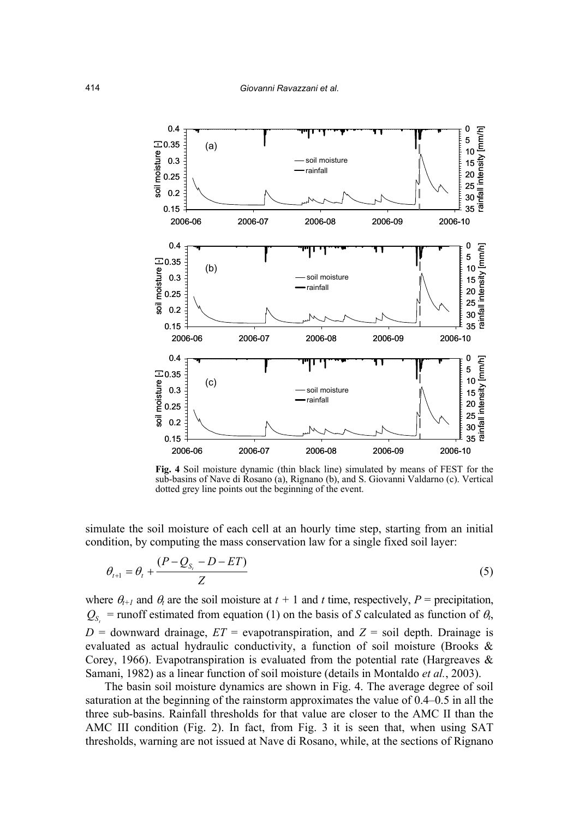

**Fig. 4** Soil moisture dynamic (thin black line) simulated by means of FEST for the sub-basins of Nave di Rosano (a), Rignano (b), and S. Giovanni Valdarno (c). Vertical dotted grey line points out the beginning of the event.

simulate the soil moisture of each cell at an hourly time step, starting from an initial condition, by computing the mass conservation law for a single fixed soil layer:

$$
\theta_{t+1} = \theta_t + \frac{(P - Q_{S_t} - D - ET)}{Z}
$$
\n(5)

where  $\theta_{t+1}$  and  $\theta_t$  are the soil moisture at  $t + 1$  and  $t$  time, respectively,  $P =$  precipitation,  $Q_{S}$  = runoff estimated from equation (1) on the basis of *S* calculated as function of  $\theta$ ,  $D =$  downward drainage,  $ET =$  evapotranspiration, and  $Z =$  soil depth. Drainage is evaluated as actual hydraulic conductivity, a function of soil moisture (Brooks & Corey, 1966). Evapotranspiration is evaluated from the potential rate (Hargreaves  $\&$ Samani, 1982) as a linear function of soil moisture (details in Montaldo *et al.*, 2003).

 The basin soil moisture dynamics are shown in Fig. 4. The average degree of soil saturation at the beginning of the rainstorm approximates the value of 0.4–0.5 in all the three sub-basins. Rainfall thresholds for that value are closer to the AMC II than the AMC III condition (Fig. 2). In fact, from Fig. 3 it is seen that, when using SAT thresholds, warning are not issued at Nave di Rosano, while, at the sections of Rignano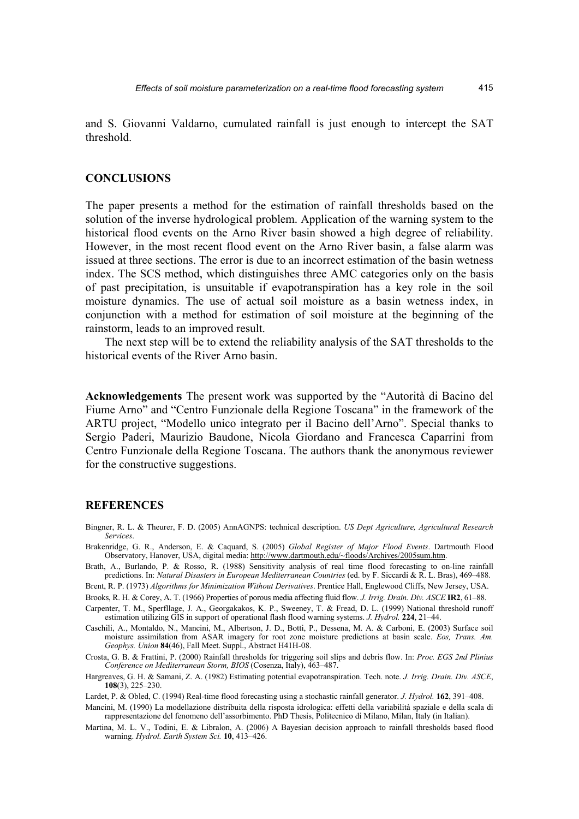and S. Giovanni Valdarno, cumulated rainfall is just enough to intercept the SAT threshold.

## **CONCLUSIONS**

The paper presents a method for the estimation of rainfall thresholds based on the solution of the inverse hydrological problem. Application of the warning system to the historical flood events on the Arno River basin showed a high degree of reliability. However, in the most recent flood event on the Arno River basin, a false alarm was issued at three sections. The error is due to an incorrect estimation of the basin wetness index. The SCS method, which distinguishes three AMC categories only on the basis of past precipitation, is unsuitable if evapotranspiration has a key role in the soil moisture dynamics. The use of actual soil moisture as a basin wetness index, in conjunction with a method for estimation of soil moisture at the beginning of the rainstorm, leads to an improved result.

 The next step will be to extend the reliability analysis of the SAT thresholds to the historical events of the River Arno basin.

**Acknowledgements** The present work was supported by the "Autorità di Bacino del Fiume Arno" and "Centro Funzionale della Regione Toscana" in the framework of the ARTU project, "Modello unico integrato per il Bacino dell'Arno". Special thanks to Sergio Paderi, Maurizio Baudone, Nicola Giordano and Francesca Caparrini from Centro Funzionale della Regione Toscana. The authors thank the anonymous reviewer for the constructive suggestions.

#### **REFERENCES**

- Bingner, R. L. & Theurer, F. D. (2005) AnnAGNPS: technical description. *US Dept Agriculture, Agricultural Research Services*.
- Brakenridge, G. R., Anderson, E. & Caquard, S. (2005) *Global Register of Major Flood Events*. Dartmouth Flood Observatory, Hanover, USA, digital media: http://www.dartmouth.edu/~floods/Archives/2005sum.htm.
- Brath, A., Burlando, P. & Rosso, R. (1988) Sensitivity analysis of real time flood forecasting to on-line rainfall predictions. In: *Natural Disasters in European Mediterranean Countries* (ed. by F. Siccardi & R. L. Bras), 469–488.
- Brent, R. P. (1973) *Algorithms for Minimization Without Derivatives*. Prentice Hall, Englewood Cliffs, New Jersey, USA.

Brooks, R. H. & Corey, A. T. (1966) Properties of porous media affecting fluid flow. *J. Irrig. Drain. Div. ASCE* **IR2**, 61–88.

Carpenter, T. M., Sperfllage, J. A., Georgakakos, K. P., Sweeney, T. & Fread, D. L. (1999) National threshold runoff estimation utilizing GIS in support of operational flash flood warning systems. *J. Hydrol.* **224**, 21–44.

- Caschili, A., Montaldo, N., Mancini, M., Albertson, J. D., Botti, P., Dessena, M. A. & Carboni, E. (2003) Surface soil moisture assimilation from ASAR imagery for root zone moisture predictions at basin scale. *Eos, Trans. Am. Geophys. Union* **84**(46), Fall Meet. Suppl., Abstract H41H-08.
- Crosta, G. B. & Frattini, P. (2000) Rainfall thresholds for triggering soil slips and debris flow. In: *Proc. EGS 2nd Plinius Conference on Mediterranean Storm, BIOS* (Cosenza, Italy), 463–487.
- Hargreaves, G. H. & Samani, Z. A. (1982) Estimating potential evapotranspiration. Tech. note. *J. Irrig. Drain. Div. ASCE*, **108**(3), 225–230.
- Lardet, P. & Obled, C. (1994) Real-time flood forecasting using a stochastic rainfall generator. *J. Hydrol.* **162**, 391–408.

Mancini, M. (1990) La modellazione distribuita della risposta idrologica: effetti della variabilità spaziale e della scala di rappresentazione del fenomeno dell'assorbimento. PhD Thesis, Politecnico di Milano, Milan, Italy (in Italian).

Martina, M. L. V., Todini, E. & Libralon, A. (2006) A Bayesian decision approach to rainfall thresholds based flood warning. *Hydrol. Earth System Sci.* **10**, 413–426.